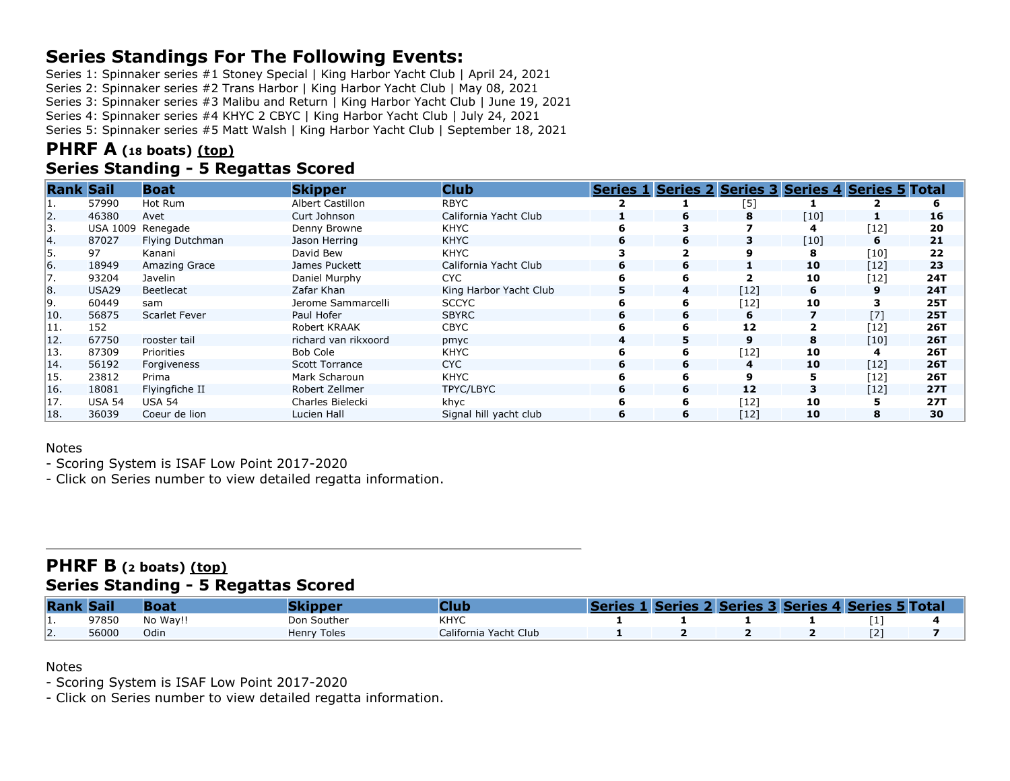# **Series Standings For The Following Events:**

Series 1: Spinnaker series #1 Stoney Special | King Harbor Yacht Club | April 24, 2021

Series 2: Spinnaker series #2 Trans Harbor | King Harbor Yacht Club | May 08, 2021

Series 3: Spinnaker series #3 Malibu and Return | King Harbor Yacht Club | June 19, 2021

Series 4: Spinnaker series #4 KHYC 2 CBYC | King Harbor Yacht Club | July 24, 2021

Series 5: Spinnaker series #5 Matt Walsh | King Harbor Yacht Club | September 18, 2021

# **PHRF A (<sup>18</sup> boats) [\(top\)](about:blank#top)**

## **Series Standing - 5 Regattas Scored**

| <b>Rank Sail</b> |                   | <b>Boat</b>     | <b>Skipper</b>        | <b>Club</b>            |    | Series 1 Series 2 Series 3 Series 4 Series 5 Total |        |      |      |            |
|------------------|-------------------|-----------------|-----------------------|------------------------|----|----------------------------------------------------|--------|------|------|------------|
|                  | 57990             | Hot Rum         | Albert Castillon      | <b>RBYC</b>            |    |                                                    | [5]    |      |      |            |
| 12.              | 46380             | Avet            | Curt Johnson          | California Yacht Club  |    | 6                                                  | 8      | [10] |      | 16         |
| 13.              | <b>USA 1009</b>   | Renegade        | Denny Browne          | <b>KHYC</b>            |    |                                                    |        | 4    | [12] | 20         |
| 14.              | 87027             | Flying Dutchman | Jason Herring         | <b>KHYC</b>            | 6  | 6                                                  | 3      | [10] | 6    | 21         |
| l5.              | 97                | Kanani          | David Bew             | <b>KHYC</b>            |    |                                                    |        | 8    | [10] | 22         |
| 16.              | 18949             | Amazing Grace   | James Puckett         | California Yacht Club  | 6  | 6                                                  |        | 10   | [12] | 23         |
| 17.              | 93204             | Javelin         | Daniel Murphy         | CYC.                   |    | 6                                                  |        | 10   | [12] | 24T        |
| Ι8.              | USA <sub>29</sub> | Beetlecat       | Zafar Khan            | King Harbor Yacht Club | 5. | 4                                                  | $[12]$ | 6    | 9    | 24T        |
| 19.              | 60449             | sam             | Jerome Sammarcelli    | <b>SCCYC</b>           |    | 6                                                  | $[12]$ | 10   |      | <b>25T</b> |
| 10.              | 56875             | Scarlet Fever   | Paul Hofer            | <b>SBYRC</b>           | 6  | 6                                                  | 6      |      | [7]  | <b>25T</b> |
| 11.              | 152               |                 | Robert KRAAK          | <b>CBYC</b>            |    | 6                                                  | 12     |      | [12] | 26T        |
| 12.              | 67750             | rooster tail    | richard van rikxoord  | pmyc                   |    | 5.                                                 | 9      | 8    | [10] | <b>26T</b> |
| 13.              | 87309             | Priorities      | Bob Cole              | <b>KHYC</b>            |    | 6                                                  | $[12]$ | 10   |      | 26T        |
| 14.              | 56192             | Forgiveness     | <b>Scott Torrance</b> | CYC.                   | 6  | 6                                                  | 4      | 10   | [12] | 26T        |
| 15.              | 23812             | Prima           | Mark Scharoun         | <b>KHYC</b>            |    |                                                    |        | 5    | [12] | 26T        |
| 16.              | 18081             | Flyingfiche II  | Robert Zellmer        | TPYC/LBYC              | 6  | 6                                                  | 12     | 3    | [12] | 27T        |
| 17.              | <b>USA 54</b>     | <b>USA 54</b>   | Charles Bielecki      | khyc                   |    | 6                                                  | [12]   | 10   |      | 27T        |
| 118.             | 36039             | Coeur de lion   | Lucien Hall           | Signal hill yacht club | 6  | 6                                                  | $[12]$ | 10   | 8    | 30         |

#### Notes

- Scoring System is ISAF Low Point 2017-2020

- Click on Series number to view detailed regatta information.

### **PHRF B (<sup>2</sup> boats) [\(top\)](about:blank#top) Series Standing - 5 Regattas Scored**

| <b>Rank Sail</b> |       | <b>Boa</b> |             |                       |  | <b>L Series 2 Series 3 Series 4 Series 5 Total</b> |  |  |
|------------------|-------|------------|-------------|-----------------------|--|----------------------------------------------------|--|--|
| .                | 97850 | No Wav!!   | Don Souther | <b>KHYC</b>           |  |                                                    |  |  |
| ız.              | 56000 | Odin       | Henry Toles | California Yacht Club |  |                                                    |  |  |

Notes

- Scoring System is ISAF Low Point 2017-2020

- Click on Series number to view detailed regatta information.